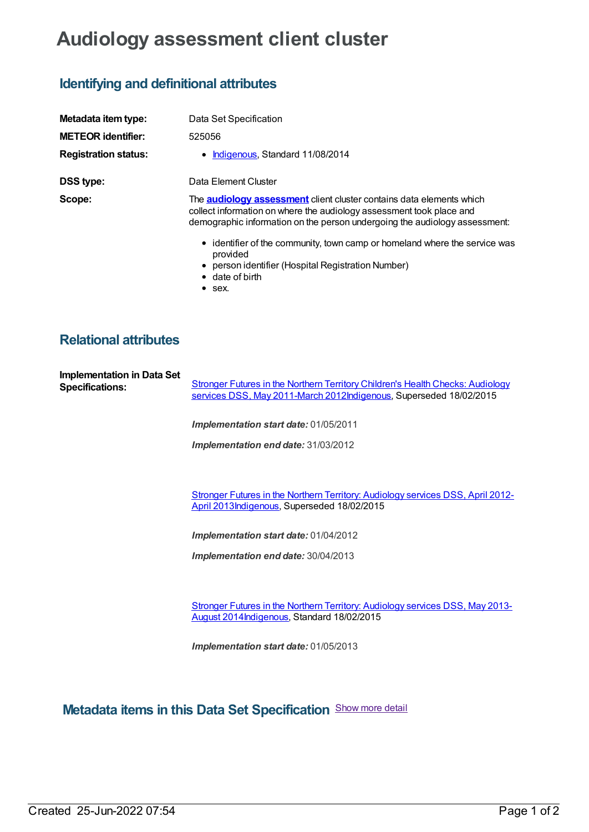## **Audiology assessment client cluster**

## **Identifying and definitional attributes**

| Metadata item type:         | Data Set Specification                                                                                                                                                                                                            |
|-----------------------------|-----------------------------------------------------------------------------------------------------------------------------------------------------------------------------------------------------------------------------------|
| <b>METEOR identifier:</b>   | 525056                                                                                                                                                                                                                            |
| <b>Registration status:</b> | Indigenous, Standard 11/08/2014<br>$\bullet$                                                                                                                                                                                      |
| <b>DSS type:</b>            | Data Element Cluster                                                                                                                                                                                                              |
| Scope:                      | The <u>audiology assessment</u> client cluster contains data elements which<br>collect information on where the audiology assessment took place and<br>demographic information on the person undergoing the audiology assessment: |
|                             | • identifier of the community, town camp or homeland where the service was<br>provided<br>• person identifier (Hospital Registration Number)<br>$\bullet$ date of birth<br>$\bullet$ sex.                                         |

## **Relational attributes**

| <b>Implementation in Data Set</b><br><b>Specifications:</b> | Stronger Futures in the Northern Territory Children's Health Checks: Audiology<br>services DSS, May 2011-March 2012Indigenous, Superseded 18/02/2015 |
|-------------------------------------------------------------|------------------------------------------------------------------------------------------------------------------------------------------------------|
|                                                             | <b>Implementation start date: 01/05/2011</b>                                                                                                         |
|                                                             | <b>Implementation end date: 31/03/2012</b>                                                                                                           |
|                                                             |                                                                                                                                                      |

Stronger Futures in the Northern Territory: Audiology services DSS, April 2012- April [2013Indigenous,](https://meteor.aihw.gov.au/content/577550) Superseded 18/02/2015

*Implementation start date:* 01/04/2012

*Implementation end date:* 30/04/2013

Stronger Futures in the Northern Territory: Audiology services DSS, May 2013- August [2014Indigenous,](https://meteor.aihw.gov.au/content/578388) Standard 18/02/2015

*Implementation start date:* 01/05/2013

**Metadata items in this Data Set Specification** Show more detail